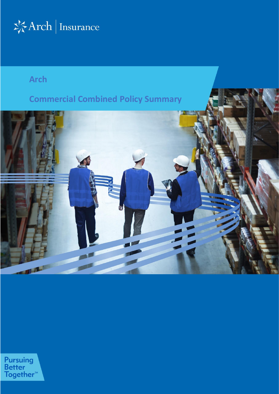

# **Arch**

# **Commercial Combined Policy Summary**

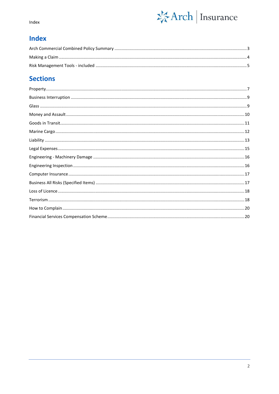

Index

# **Index**

# **Sections**

<span id="page-1-0"></span>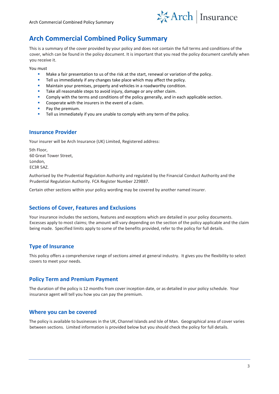

# **Arch Commercial Combined Policy Summary**

This is a summary of the cover provided by your policy and does not contain the full terms and conditions of the cover, which can be found in the policy document. It is important that you read the policy document carefully when you receive it.

You must

- Make a fair presentation to us of the risk at the start, renewal or variation of the policy.
- Tell us immediately if any changes take place which may affect the policy.
- Maintain your premises, property and vehicles in a roadworthy condition.
- Take all reasonable steps to avoid injury, damage or any other claim.
- Comply with the terms and conditions of the policy generally, and in each applicable section.
- Cooperate with the insurers in the event of a claim.
- Pay the premium.
- Tell us immediately if you are unable to comply with any term of the policy.

### **Insurance Provider**

Your insurer will be Arch Insurance (UK) Limited, Registered address:

5th Floor, 60 Great Tower Street, London, EC3R 5AZ.

Authorised by the Prudential Regulation Authority and regulated by the Financial Conduct Authority and the Prudential Regulation Authority. FCA Register Number 229887.

Certain other sections within your policy wording may be covered by another named insurer.

### **Sections of Cover, Features and Exclusions**

Your insurance includes the sections, features and exceptions which are detailed in your policy documents. Excesses apply to most claims; the amount will vary depending on the section of the policy applicable and the claim being made. Specified limits apply to some of the benefits provided, refer to the policy for full details.

### **Type of Insurance**

This policy offers a comprehensive range of sections aimed at general industry. It gives you the flexibility to select covers to meet your needs.

### **Policy Term and Premium Payment**

The duration of the policy is 12 months from cover inception date, or as detailed in your policy schedule. Your insurance agent will tell you how you can pay the premium.

### **Where you can be covered**

The policy is available to businesses in the UK, Channel Islands and Isle of Man. Geographical area of cover varies between sections. Limited information is provided below but you should check the policy for full details.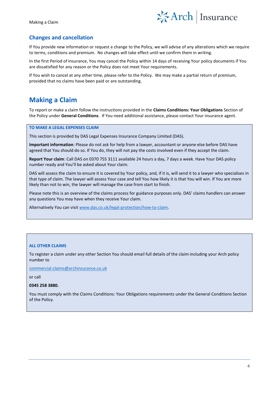

### **Changes and cancellation**

If You provide new information or request a change to the Policy, we will advise of any alterations which we require to terms, conditions and premium. No changes will take effect until we confirm them in writing.

In the first Period of Insurance, You may cancel the Policy within 14 days of receiving Your policy documents if You are dissatisfied for any reason or the Policy does not meet Your requirements.

If You wish to cancel at any other time, please refer to the Policy. We may make a partial return of premium, provided that no claims have been paid or are outstanding.

# <span id="page-3-0"></span>**Making a Claim**

To report or make a claim follow the instructions provided in the **Claims Conditions: Your Obligations** Section of the Policy under **General Conditions**. If You need additional assistance, please contact Your insurance agent.

#### **TO MAKE A LEGAL EXPENSES CLAIM**

This section is provided by DAS Legal Expenses Insurance Company Limited (DAS).

**Important information**: Please do not ask for help from a lawyer, accountant or anyone else before DAS have agreed that You should do so. If You do, they will not pay the costs involved even if they accept the claim.

**Report Your claim**: Call DAS on 0370 755 3111 available 24 hours a day, 7 days a week. Have Your DAS policy number ready and You'll be asked about Your claim.

DAS will assess the claim to ensure it is covered by Your policy, and, if it is, will send it to a lawyer who specialises in that type of claim. The lawyer will assess Your case and tell You how likely it is that You will win. If You are more likely than not to win, the lawyer will manage the case from start to finish.

Please note this is an overview of the claims process for guidance purposes only. DAS' claims handlers can answer any questions You may have when they receive Your claim.

Alternatively You can visi[t www.das.co.uk/legal-protection/how-to-claim.](http://www.das.co.uk/legal-protection/how-to-claim)

#### **ALL OTHER CLAIMS**

To register a claim under any other Section You should email full details of the claim including your Arch policy number to

[commercial.claims@archinsurance.co.uk](mailto:commercial.claims@archinsurance.co.uk)

or call

#### **0345 258 3880.**

You must comply with the Claims Conditions: Your Obligations requirements under the General Conditions Section of the Policy.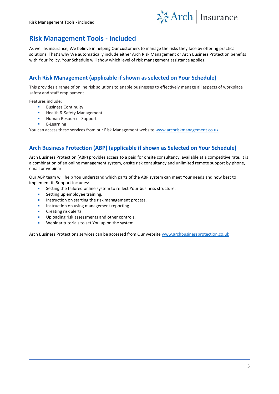

# <span id="page-4-0"></span>**Risk Management Tools - included**

As well as insurance, We believe in helping Our customers to manage the risks they face by offering practical solutions. That's why We automatically include either Arch Risk Management or Arch Business Protection benefits with Your Policy. Your Schedule will show which level of risk management assistance applies.

### **Arch Risk Management (applicable if shown as selected on Your Schedule)**

This provides a range of online risk solutions to enable businesses to effectively manage all aspects of workplace safety and staff employment.

Features include:

- Business Continuity
- Health & Safety Management
- **Human Resources Support**
- E-Learning

You can access these services from our Risk Management website www.archriskmanagement.co.uk

### **Arch Business Protection (ABP) (applicable if shown as Selected on Your Schedule)**

Arch Business Protection (ABP) provides access to a paid for onsite consultancy, available at a competitive rate. It is a combination of an online management system, onsite risk consultancy and unlimited remote support by phone, email or webinar.

Our ABP team will help You understand which parts of the ABP system can meet Your needs and how best to implement it. Support includes:

- Setting the tailored online system to reflect Your business structure.
- Setting up employee training.
- **■** Instruction on starting the risk management process.
- Instruction on using management reporting.
- Creating risk alerts.
- Uploading risk assessments and other controls.
- Webinar tutorials to set You up on the system.

Arch Business Protections services can be accessed from Our website [www.archbusinessprotection.co.uk](http://www.archbusinessprotection.co.uk/)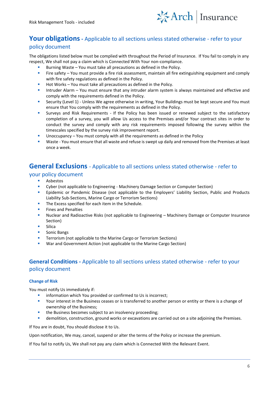

# **Your obligations-** Applicable to all sections unless stated otherwise - refer to your

### policy document

The obligations listed below must be complied with throughout the Period of Insurance. If You fail to comply in any respect, We shall not pay a claim which is Connected With Your non-compliance.

- Burning Waste You must take all precautions as defined in the Policy.
- Fire safety You must provide a fire risk assessment, maintain all fire extinguishing equipment and comply with fire safety regulations as defined in the Policy.
- Hot Works You must take all precautions as defined in the Policy.
- Intruder Alarm You must ensure that any intruder alarm system is always maintained and effective and comply with the requirements defined in the Policy.
- Security (Level 1) Unless We agree otherwise in writing, Your Buildings must be kept secure and You must ensure that You comply with the requirements as defined in the Policy.
- Surveys and Risk Requirements If the Policy has been issued or renewed subject to the satisfactory completion of a survey, you will allow Us access to the Premises and/or Your contract sites in order to conduct the survey and comply with any risk requirements imposed following the survey within the timescales specified by the survey risk improvement report.
- Unoccupancy You must comply with all the requirements as defined in the Policy
- Waste You must ensure that all waste and refuse is swept up daily and removed from the Premises at least once a week.

### **General Exclusions** - Applicable to all sections unless stated otherwise - refer to

#### your policy document

- **Asbestos**
- Cyber (not applicable to Engineering Machinery Damage Section or Computer Section)
- **•** Epidemic or Pandemic Disease (not applicable to the Employers' Liability Section, Public and Products Liability Sub-Sections, Marine Cargo or Terrorism Sections)
- The Excess specified for each item in the Schedule.
- **Fines and Penalties**
- Nuclear and Radioactive Risks (not applicable to Engineering Machinery Damage or Computer Insurance Section)
- Silica
- Sonic Bangs
- Terrorism (not applicable to the Marine Cargo or Terrorism Sections)
- War and Government Action (not applicable to the Marine Cargo Section)

### **General Conditions -** Applicable to all sections unless stated otherwise - refer to your policy document

#### **Change of Risk**

You must notify Us immediately if:

- information which You provided or confirmed to Us is incorrect;
- Your interest in the Business ceases or is transferred to another person or entity or there is a change of ownership of the Business;
- the Business becomes subject to an insolvency proceeding;
- **■** demolition, construction, ground works or excavations are carried out on a site adjoining the Premises.

If You are in doubt, You should disclose it to Us.

Upon notification, We may, cancel, suspend or alter the terms of the Policy or increase the premium.

If You fail to notify Us, We shall not pay any claim which is Connected With the Relevant Event.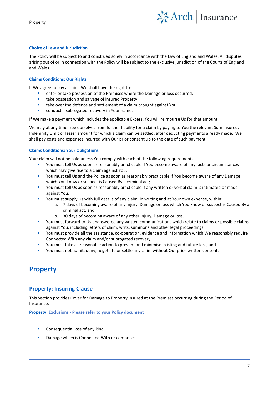Property



#### **Choice of Law and Jurisdiction**

The Policy will be subject to and construed solely in accordance with the Law of England and Wales. All disputes arising out of or in connection with the Policy will be subject to the exclusive jurisdiction of the Courts of England and Wales.

#### **Claims Conditions: Our Rights**

If We agree to pay a claim, We shall have the right to:

- enter or take possession of the Premises where the Damage or loss occurred;
- take possession and salvage of insured Property;
- take over the defence and settlement of a claim brought against You;
- conduct a subrogated recovery in Your name.

If We make a payment which includes the applicable Excess, You will reimburse Us for that amount.

We may at any time free ourselves from further liability for a claim by paying to You the relevant Sum Insured, Indemnity Limit or lesser amount for which a claim can be settled, after deducting payments already made. We shall pay costs and expenses incurred with Our prior consent up to the date of such payment.

#### **Claims Conditions: Your Obligations**

Your claim will not be paid unless You comply with each of the following requirements:

- You must tell Us as soon as reasonably practicable if You become aware of any facts or circumstances which may give rise to a claim against You;
- You must tell Us and the Police as soon as reasonably practicable if You become aware of any Damage which You know or suspect is Caused By a criminal act;
- You must tell Us as soon as reasonably practicable if any written or verbal claim is intimated or made against You;
- You must supply Us with full details of any claim, in writing and at Your own expense, within:
	- a. 7 days of becoming aware of any Injury, Damage or loss which You know or suspect is Caused By a criminal act; and
	- b. 30 days of becoming aware of any other Injury, Damage or loss.
- You must forward to Us unanswered any written communications which relate to claims or possible claims against You, including letters of claim, writs, summons and other legal proceedings;
- You must provide all the assistance, co-operation, evidence and information which We reasonably require Connected With any claim and/or subrogated recovery;
- You must take all reasonable action to prevent and minimise existing and future loss; and
- <span id="page-6-0"></span>You must not admit, deny, negotiate or settle any claim without Our prior written consent.

# **Property**

### **Property: Insuring Clause**

This Section provides Cover for Damage to Property Insured at the Premises occurring during the Period of Insurance.

**Property: Exclusions - Please refer to your Policy document**

- Consequential loss of any kind.
- Damage which is Connected With or comprises: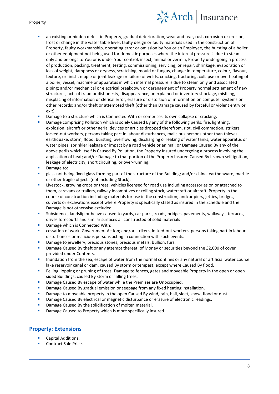# 琴Arch | Insurance

#### Property

- an existing or hidden defect in Property, gradual deterioration, wear and tear, rust, corrosion or erosion, frost or change in the water table level, faulty design or faulty materials used in the construction of Property, faulty workmanship, operating error or omission by You or an Employee, the bursting of a boiler or other equipment not being used for domestic purposes where the internal pressure is due to steam only and belongs to You or is under Your control, insect, animal or vermin, Property undergoing a process of production, packing, treatment, testing, commissioning, servicing, or repair, shrinkage, evaporation or loss of weight, dampness or dryness, scratching, mould or fungus, change in temperature, colour, flavour, texture, or finish, nipple or joint leakage or failure of welds, cracking, fracturing, collapse or overheating of a boiler, vessel, machine or apparatus in which internal pressure is due to steam only and associated piping; and/or mechanical or electrical breakdown or derangement of Property normal settlement of new structures, acts of fraud or dishonesty, disappearance, unexplained or inventory shortage, misfiling, misplacing of information or clerical error, erasure or distortion of information on computer systems or other records; and/or theft or attempted theft (other than Damage caused by forceful or violent entry or exit).
- Damage to a structure which is Connected With or comprises its own collapse or cracking.
- Damage comprising Pollution which is solely Caused By any of the following perils: fire, lightning, explosion, aircraft or other aerial devices or articles dropped therefrom, riot, civil commotion, strikers, locked-out workers, persons taking part in labour disturbances, malicious persons other than thieves, earthquake, storm, flood, bursting, overflowing, discharging or leaking of water tanks, water apparatus or water pipes, sprinkler leakage or impact by a road vehicle or animal; or Damage Caused By any of the above perils which itself is Caused By Pollution, the Property Insured undergoing a process involving the application of heat; and/or Damage to that portion of the Property Insured Caused By its own self ignition, leakage of electricity, short circuiting, or over-running.
- Damage to:
- glass not being fixed glass forming part of the structure of the Building; and/or china, earthenware, marble or other fragile objects (not including Stock).
- Livestock, growing crops or trees, vehicles licensed for road use including accessories on or attached to them, caravans or trailers, railway locomotives or rolling stock, watercraft or aircraft, Property in the course of construction including materials for use in the construction; and/or piers, jetties, bridges, culverts or excavations except where Property is specifically stated as insured in the Schedule and the Damage is not otherwise excluded.
- Subsidence, landslip or heave caused to yards, car parks, roads, bridges, pavements, walkways, terraces, drives forecourts and similar surfaces all constructed of solid materials
- Damage which is Connected With:
- cessation of work, Government Action; and/or strikers, locked-out workers, persons taking part in labour disturbances or malicious persons acting in connection with such events.
- Damage to jewellery, precious stones, precious metals, bullion, furs.
- Damage Caused By theft or any attempt thereat, of Money or securities beyond the £2,000 of cover provided under Contents.
- Inundation from the sea, escape of water from the normal confines or any natural or artificial water course lake reservoir canal or dam, caused By storm or tempest, except where Caused By flood.
- Felling, lopping or pruning of trees, Damage to fences, gates and moveable Property in the open or open sided Buildings, caused By storm or falling trees.
- Damage Caused By escape of water while the Premises are Unoccupied.
- Damage Caused By gradual emission or seepage from any fixed heating installation.
- Damage to moveable property in the open Caused By wind, rain, hail, sleet, snow, flood or dust.
- Damage Caused By electrical or magnetic disturbance or erasure of electronic readings.
- Damage Caused By the solidification of molten material.
- Damage Caused to Property which is more specifically insured.

### **Property: Extensions**

- Capital Additions.
- Contract Sale Price.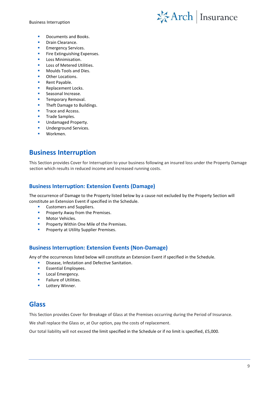Business Interruption



- Documents and Books.
- Drain Clearance.
- **Emergency Services.**
- Fire Extinguishing Expenses.
- Loss Minimisation.
- Loss of Metered Utilities.
- Moulds Tools and Dies.
- Other Locations.
- Rent Payable.
- Replacement Locks.
- Seasonal Increase.
- Temporary Removal.
- Theft Damage to Buildings.
- Trace and Access.
- Trade Samples.
- Undamaged Property.
- Underground Services.
- <span id="page-8-0"></span>Workmen.

# **Business Interruption**

This Section provides Cover for Interruption to your business following an insured loss under the Property Damage section which results in reduced income and increased running costs.

### **Business Interruption: Extension Events (Damage)**

The occurrence of Damage to the Property listed below by a cause not excluded by the Property Section will constitute an Extension Event if specified in the Schedule.

- Customers and Suppliers.
- Property Away from the Premises.
- Motor Vehicles.
- **•** Property Within One Mile of the Premises.
- Property at Utility Supplier Premises.

### **Business Interruption: Extension Events (Non-Damage)**

Any of the occurrences listed below will constitute an Extension Event if specified in the Schedule.

- Disease, Infestation and Defective Sanitation.
- Essential Employees.
- **■** Local Emergency.
- Failure of Utilities.
- <span id="page-8-1"></span>Lottery Winner.

# **Glass**

This Section provides Cover for Breakage of Glass at the Premises occurring during the Period of Insurance.

We shall replace the Glass or, at Our option, pay the costs of replacement.

Our total liability will not exceed the limit specified in the Schedule or if no limit is specified, £5,000.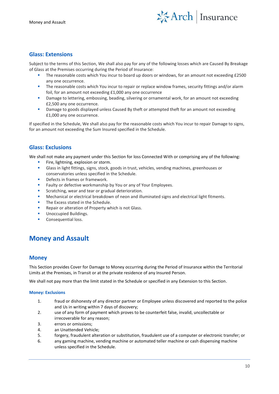

### **Glass: Extensions**

Subject to the terms of this Section, We shall also pay for any of the following losses which are Caused By Breakage of Glass at the Premises occurring during the Period of Insurance:

- The reasonable costs which You incur to board up doors or windows, for an amount not exceeding £2500 any one occurrence.
- The reasonable costs which You incur to repair or replace window frames, security fittings and/or alarm foil, for an amount not exceeding £1,000 any one occurrence
- Damage to lettering, embossing, beading, silvering or ornamental work, for an amount not exceeding £2,500 any one occurrence.
- Damage to goods displayed unless Caused By theft or attempted theft for an amount not exceeding £1,000 any one occurrence.

If specified in the Schedule, We shall also pay for the reasonable costs which You incur to repair Damage to signs, for an amount not exceeding the Sum Insured specified in the Schedule.

### **Glass: Exclusions**

We shall not make any payment under this Section for loss Connected With or comprising any of the following:

- Fire, lightning, explosion or storm.
- Glass in light fittings, signs, stock, goods in trust, vehicles, vending machines, greenhouses or conservatories unless specified in the Schedule.
- Defects in frames or framework.
- Faulty or defective workmanship by You or any of Your Employees.
- Scratching, wear and tear or gradual deterioration.
- Mechanical or electrical breakdown of neon and illuminated signs and electrical light fitments.
- The Excess stated in the Schedule.
- Repair or alteration of Property which is not Glass.
- Unoccupied Buildings.
- Consequential loss.

# <span id="page-9-0"></span>**Money and Assault**

#### **Money**

This Section provides Cover for Damage to Money occurring during the Period of Insurance within the Territorial Limits at the Premises, in Transit or at the private residence of any Insured Person.

We shall not pay more than the limit stated in the Schedule or specified in any Extension to this Section.

#### **Money: Exclusions**

- 1. fraud or dishonesty of any director partner or Employee unless discovered and reported to the police and Us in writing within 7 days of discovery;
- 2. use of any form of payment which proves to be counterfeit false, invalid, uncollectable or irrecoverable for any reason;
- 3. errors or omissions;
- 4. an Unattended Vehicle;
- 5. forgery, fraudulent alteration or substitution, fraudulent use of a computer or electronic transfer; or
- 6. any gaming machine, vending machine or automated teller machine or cash dispensing machine unless specified in the Schedule.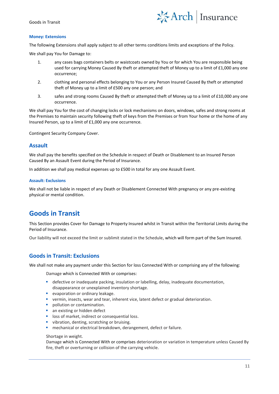#### Goods in Transit



#### **Money: Extensions**

The following Extensions shall apply subject to all other terms conditions limits and exceptions of the Policy.

We shall pay You for Damage to:

- 1. any cases bags containers belts or waistcoats owned by You or for which You are responsible being used for carrying Money Caused By theft or attempted theft of Money up to a limit of £1,000 any one occurrence;
- 2. clothing and personal effects belonging to You or any Person Insured Caused By theft or attempted theft of Money up to a limit of £500 any one person; and
- 3. safes and strong rooms Caused By theft or attempted theft of Money up to a limit of £10,000 any one occurrence.

We shall pay You for the cost of changing locks or lock mechanisms on doors, windows, safes and strong rooms at the Premises to maintain security following theft of keys from the Premises or from Your home or the home of any Insured Person, up to a limit of £1,000 any one occurrence.

Contingent Security Company Cover.

#### **Assault**

We shall pay the benefits specified on the Schedule in respect of Death or Disablement to an Insured Person Caused By an Assault Event during the Period of Insurance.

In addition we shall pay medical expenses up to £500 in total for any one Assault Event.

#### **Assault: Exclusions**

We shall not be liable in respect of any Death or Disablement Connected With pregnancy or any pre-existing physical or mental condition.

# <span id="page-10-0"></span>**Goods in Transit**

This Section provides Cover for Damage to Property Insured whilst in Transit within the Territorial Limits during the Period of Insurance.

Our liability will not exceed the limit or sublimit stated in the Schedule, which will form part of the Sum Insured.

### **Goods in Transit: Exclusions**

We shall not make any payment under this Section for loss Connected With or comprising any of the following:

Damage which is Connected With or comprises:

- **E** defective or inadequate packing, insulation or labelling, delay, inadequate documentation, disappearance or unexplained inventory shortage.
- evaporation or ordinary leakage.
- vermin, insects, wear and tear, inherent vice, latent defect or gradual deterioration.
- **•** pollution or contamination.
- an existing or hidden defect
- loss of market, indirect or consequential loss.
- vibration, denting, scratching or bruising.
- mechanical or electrical breakdown, derangement, defect or failure.

#### Shortage in weight.

Damage which is Connected With or comprises deterioration or variation in temperature unless Caused By fire, theft or overturning or collision of the carrying vehicle.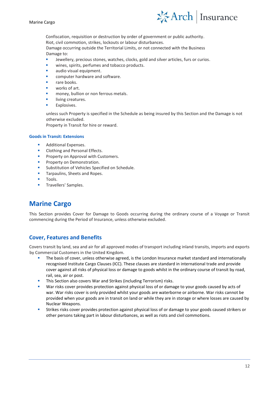



Confiscation, requisition or destruction by order of government or public authority. Riot, civil commotion, strikes, lockouts or labour disturbances.

Damage occurring outside the Territorial Limits, or not connected with the Business Damage to:

- Jewellery, precious stones, watches, clocks, gold and silver articles, furs or curios.
- wines, spirits, perfumes and tobacco products.
- audio visual equipment.
- computer hardware and software.
- rare books.
- works of art.
- money, bullion or non ferrous metals.
- living creatures.
- Explosives.

unless such Property is specified in the Schedule as being insured by this Section and the Damage is not otherwise excluded.

Property in Transit for hire or reward.

#### **Goods in Transit: Extensions**

- Additional Expenses.
- Clothing and Personal Effects.
- Property on Approval with Customers.
- Property on Demonstration.
- Substitution of Vehicles Specified on Schedule.
- Tarpaulins, Sheets and Ropes.
- Tools.
- Travellers' Samples.

# <span id="page-11-0"></span>**Marine Cargo**

This Section provides Cover for Damage to Goods occurring during the ordinary course of a Voyage or Transit commencing during the Period of Insurance, unless otherwise excluded.

### **Cover, Features and Benefits**

Covers transit by land, sea and air for all approved modes of transport including inland transits, imports and exports by Commercial Customers in the United Kingdom.

- The basis of cover, unless otherwise agreed, is the London Insurance market standard and internationally recognised Institute Cargo Clauses (ICC). These clauses are standard in international trade and provide cover against all risks of physical loss or damage to goods whilst in the ordinary course of transit by road, rail, sea, air or post.
- This Section also covers War and Strikes (including Terrorism) risks.
- War risks cover provides protection against physical loss of or damage to your goods caused by acts of war. War risks cover is only provided whilst your goods are waterborne or airborne. War risks cannot be provided when your goods are in transit on land or while they are in storage or where losses are caused by Nuclear Weapons.
- Strikes risks cover provides protection against physical loss of or damage to your goods caused strikers or other persons taking part in labour disturbances, as well as riots and civil commotions.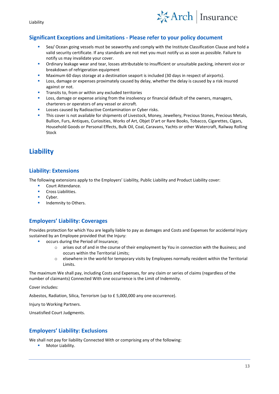Liability



### **Significant Exceptions and Limitations - Please refer to your policy document**

- Sea/ Ocean going vessels must be seaworthy and comply with the Institute Classification Clause and hold a valid security certificate. If any standards are not met you must notify us as soon as possible. Failure to notify us may invalidate your cover.
- Ordinary leakage wear and tear, losses attributable to insufficient or unsuitable packing, inherent vice or breakdown of refrigeration equipment
- Maximum 60 days storage at a destination seaport is included (30 days in respect of airports).
- Loss, damage or expenses proximately caused by delay, whether the delay is caused by a risk insured against or not.
- Transits to, from or within any excluded territories
- Loss, damage or expense arising from the insolvency or financial default of the owners, managers, charterers or operators of any vessel or aircraft.
- Losses caused by Radioactive Contamination or Cyber risks.
- This cover is not available for shipments of Livestock, Money, Jewellery, Precious Stones, Precious Metals, Bullion, Furs, Antiques, Curiosities, Works of Art, Objet D'art or Rare Books, Tobacco, Cigarettes, Cigars, Household Goods or Personal Effects, Bulk Oil, Coal, Caravans, Yachts or other Watercraft, Railway Rolling Stock

# <span id="page-12-0"></span>**Liability**

### **Liability: Extensions**

The following extensions apply to the Employers' Liability, Public Liability and Product Liability cover:

- Court Attendance.
- Cross Liabilities.
- Cyber.
- Indemnity to Others.

### **Employers' Liability: Coverages**

Provides protection for which You are legally liable to pay as damages and Costs and Expenses for accidental Injury sustained by an Employee provided that the Injury:

- occurs during the Period of Insurance;
	- o arises out of and in the course of their employment by You in connection with the Business; and occurs within the Territorial Limits;
	- $\circ$  elsewhere in the world for temporary visits by Employees normally resident within the Territorial Limits.

The maximum We shall pay, including Costs and Expenses, for any claim or series of claims (regardless of the number of claimants) Connected With one occurrence is the Limit of Indemnity.

Cover includes:

Asbestos, Radiation, Silica, Terrorism (up to £ 5,000,000 any one occurrence).

Injury to Working Partners.

Unsatisfied Court Judgments.

### **Employers' Liability: Exclusions**

We shall not pay for liability Connected With or comprising any of the following:

■ Motor Liability.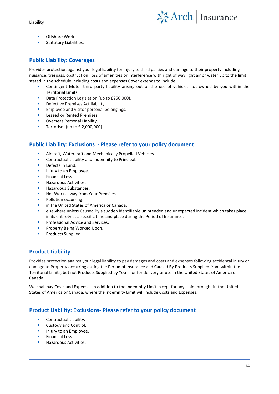Liability



- Offshore Work.
- Statutory Liabilities.

### **Public Liability: Coverages**

Provides protection against your legal liability for injury to third parties and damage to their property including nuisance, trespass, obstruction, loss of amenities or interference with right of way light air or water up to the limit stated in the schedule including costs and expenses Cover extends to include:

- Contingent Motor third party liability arising out of the use of vehicles not owned by you within the Territorial Limits.
- Data Protection Legislation (up to £250,000).
- Defective Premises Act liability.
- Employee and visitor personal belongings.
- Leased or Rented Premises.
- Overseas Personal Liability.
- Terrorism (up to £ 2,000,000).

### **Public Liability: Exclusions - Please refer to your policy document**

- Aircraft, Watercraft and Mechanically Propelled Vehicles.
- Contractual Liability and Indemnity to Principal.
- Defects in Land.
- Injury to an Employee.
- Financial Loss.
- **Hazardous Activities.**
- Hazardous Substances.
- Hot Works away from Your Premises.
- Pollution occurring:
- in the United States of America or Canada:
- elsewhere unless Caused By a sudden identifiable unintended and unexpected incident which takes place in its entirety at a specific time and place during the Period of Insurance.
- Professional Advice and Services.
- Property Being Worked Upon.
- Products Supplied.

## **Product Liability**

Provides protection against your legal liability to pay damages and costs and expenses following accidental injury or damage to Property occurring during the Period of Insurance and Caused By Products Supplied from within the Territorial Limits, but not Products Supplied by You in or for delivery or use in the United States of America or Canada.

We shall pay Costs and Expenses in addition to the Indemnity Limit except for any claim brought in the United States of America or Canada, where the Indemnity Limit will include Costs and Expenses.

### **Product Liability: Exclusions- Please refer to your policy document**

- Contractual Liability.
- Custody and Control.
- Injury to an Employee.
- **Financial Loss**
- Hazardous Activities.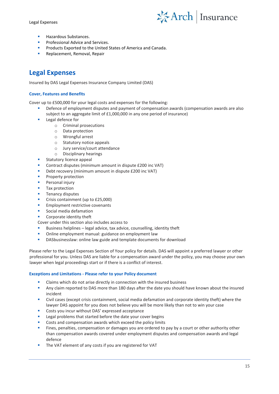Legal Expenses



- Hazardous Substances.
- Professional Advice and Services.
- Products Exported to the United States of America and Canada.
- <span id="page-14-0"></span>Replacement, Removal, Repair

# **Legal Expenses**

Insured by DAS Legal Expenses Insurance Company Limited (DAS)

#### **Cover, Features and Benefits**

Cover up to £500,000 for your legal costs and expenses for the following:

- Defence of employment disputes and payment of compensation awards (compensation awards are also subject to an aggregate limit of £1,000,000 in any one period of insurance)
- Legal defence for
	- o Criminal prosecutions
	- o Data protection
	- o Wrongful arrest
	- o Statutory notice appeals
	- o Jury service/court attendance
	- o Disciplinary hearings
- Statutory licence appeal
- Contract disputes (minimum amount in dispute £200 inc VAT)
- Debt recovery (minimum amount in dispute £200 inc VAT)
- Property protection
- Personal injury
- Tax protection
- Tenancy disputes
- Crisis containment (up to £25,000)
- **Employment restrictive covenants**
- Social media defamation
- Corporate identity theft

Cover under this section also includes access to

- Business helplines legal advice, tax advice, counselling, identity theft
- Online employment manual: guidance on employment law
- DASbusinesslaw: online law guide and template documents for download

Please refer to the Legal Expenses Section of Your policy for details. DAS will appoint a preferred lawyer or other professional for you. Unless DAS are liable for a compensation award under the policy, you may choose your own lawyer when legal proceedings start or if there is a conflict of interest.

#### **Exceptions and Limitations - Please refer to your Policy document**

- Claims which do not arise directly in connection with the insured business
- Any claim reported to DAS more than 180 days after the date you should have known about the insured incident
- Civil cases (except crisis containment, social media defamation and corporate identity theft) where the lawyer DAS appoint for you does not believe you will be more likely than not to win your case
- Costs you incur without DAS' expressed acceptance
- Legal problems that started before the date your cover begins
- Costs and compensation awards which exceed the policy limits
- Fines, penalties, compensation or damages you are ordered to pay by a court or other authority other than compensation awards covered under employment disputes and compensation awards and legal defence
- The VAT element of any costs if you are registered for VAT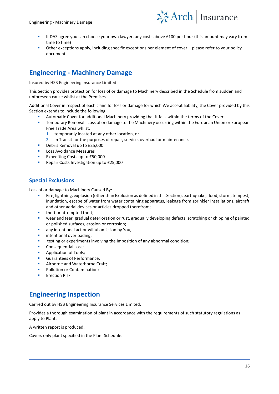

- If DAS agree you can choose your own lawyer, any costs above £100 per hour (this amount may vary from time to time)
- Other exceptions apply, including specific exceptions per element of cover please refer to your policy document

# <span id="page-15-0"></span>**Engineering - Machinery Damage**

Insured by HSB Engineering Insurance Limited

This Section provides protection for loss of or damage to Machinery described in the Schedule from sudden and unforeseen cause whilst at the Premises.

Additional Cover in respect of each claim for loss or damage for which We accept liability, the Cover provided by this Section extends to include the following:

- Automatic Cover for additional Machinery providing that it falls within the terms of the Cover.
- **E** Temporary Removal Loss of or damage to the Machinery occurring within the European Union or European Free Trade Area whilst:
	- 1. temporarily located at any other location, or
	- 2. in Transit for the purposes of repair, service, overhaul or maintenance.
- Debris Removal up to £25,000
- Loss Avoidance Measures
- Expediting Costs up to £50,000
- Repair Costs Investigation up to £25,000

### **Special Exclusions**

Loss of or damage to Machinery Caused By:

- Fire, lightning, explosion (other than Explosion as defined in this Section), earthquake, flood, storm, tempest, inundation, escape of water from water containing apparatus, leakage from sprinkler installations, aircraft and other aerial devices or articles dropped therefrom;
- theft or attempted theft;
- wear and tear, gradual deterioration or rust, gradually developing defects, scratching or chipping of painted or polished surfaces, erosion or corrosion;
- any intentional act or wilful omission by You;
- intentional overloading;
- testing or experiments involving the imposition of any abnormal condition;
- Consequential Loss;
- Application of Tools;
- Guarantees of Performance;
- Airborne and Waterborne Craft;
- Pollution or Contamination:
- <span id="page-15-1"></span>**Erection Risk.**

# **Engineering Inspection**

Carried out by HSB Engineering Insurance Services Limited.

Provides a thorough examination of plant in accordance with the requirements of such statutory regulations as apply to Plant.

A written report is produced.

Covers only plant specified in the Plant Schedule.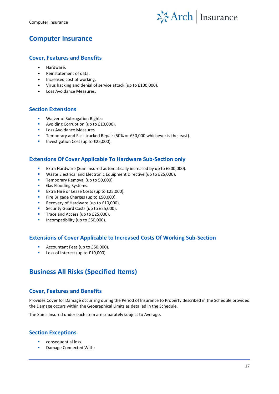

# <span id="page-16-0"></span>**Computer Insurance**

### **Cover, Features and Benefits**

- Hardware.
- Reinstatement of data.
- Increased cost of working.
- Virus hacking and denial of service attack (up to £100,000).
- Loss Avoidance Measures.

### **Section Extensions**

- Waiver of Subrogation Rights;
- Avoiding Corruption (up to £10,000).
- Loss Avoidance Measures
- Temporary and Fast-tracked Repair (50% or £50,000 whichever is the least).
- **■** Investigation Cost (up to £25,000).

### **Extensions Of Cover Applicable To Hardware Sub-Section only**

- Extra Hardware (Sum Insured automatically increased by up to £500,000).
- Waste Electrical and Electronic Equipment Directive (up to £25,000).
- Temporary Removal (up to 50,000).
- Gas Flooding Systems.
- Extra Hire or Lease Costs (up to £25,000).
- Fire Brigade Charges (up to £50,000).
- Recovery of Hardware (up to £10,000).
- Security Guard Costs (up to £25,000).
- Trace and Access (up to £25,000).
- Incompatibility (up to £50,000).

### **Extensions of Cover Applicable to Increased Costs Of Working Sub-Section**

- Accountant Fees (up to £50,000).
- <span id="page-16-1"></span>■ Loss of Interest (up to £10,000).

# **Business All Risks (Specified Items)**

### **Cover, Features and Benefits**

Provides Cover for Damage occurring during the Period of Insurance to Property described in the Schedule provided the Damage occurs within the Geographical Limits as detailed in the Schedule.

The Sums Insured under each item are separately subject to Average.

### **Section Exceptions**

- consequential loss.
- Damage Connected With: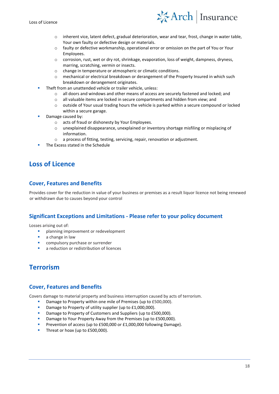

- o inherent vice, latent defect, gradual deterioration, wear and tear, frost, change in water table, Your own faulty or defective design or materials.
- o faulty or defective workmanship, operational error or omission on the part of You or Your Employees.
- o corrosion, rust, wet or dry rot, shrinkage, evaporation, loss of weight, dampness, dryness, marring, scratching, vermin or insects.
- o change in temperature or atmospheric or climatic conditions.
- o mechanical or electrical breakdown or derangement of the Property Insured in which such breakdown or derangement originates.
- Theft from an unattended vehicle or trailer vehicle, unless:
	- o all doors and windows and other means of access are securely fastened and locked; and
	- o all valuable items are locked in secure compartments and hidden from view; and
	- o outside of Your usual trading hours the vehicle is parked within a secure compound or locked within a secure garage.
- Damage caused by:
	- o acts of fraud or dishonesty by Your Employees.
	- o unexplained disappearance, unexplained or inventory shortage misfiling or misplacing of information.
	- o a process of fitting, testing, servicing, repair, renovation or adjustment.
- <span id="page-17-0"></span>The Excess stated in the Schedule

# **Loss of Licence**

### **Cover, Features and Benefits**

Provides cover for the reduction in value of your business or premises as a result liquor licence not being renewed or withdrawn due to causes beyond your control

### **Significant Exceptions and Limitations - Please refer to your policy document**

Losses arising out of:

- planning improvement or redevelopment
- a change in law
- compulsory purchase or surrender
- a reduction or redistribution of licences

# <span id="page-17-1"></span>**Terrorism**

### **Cover, Features and Benefits**

Covers damage to material property and business interruption caused by acts of terrorism.

- Damage to Property within one mile of Premises (up to £500,000).
- Damage to Property of utility supplier (up to £1,000,000).
- Damage to Property of Customers and Suppliers (up to £500,000).
- Damage to Your Property Away from the Premises (up to £500,000).
- Prevention of access (up to £500,000 or £1,000,000 following Damage).
- Threat or hoax (up to £500,000).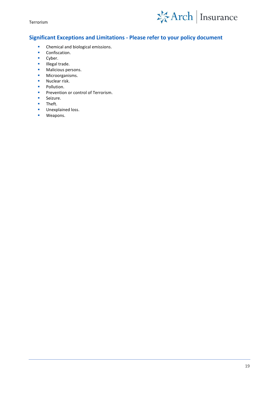Terrorism



## **Significant Exceptions and Limitations - Please refer to your policy document**

- Chemical and biological emissions.
- Confiscation.
- Cyber.
- Illegal trade.
- Malicious persons.
- **■** Microorganisms.
- Nuclear risk.
- Pollution.
- **•** Prevention or control of Terrorism.
- Seizure.
- Theft.
- **■** Unexplained loss.
- Weapons.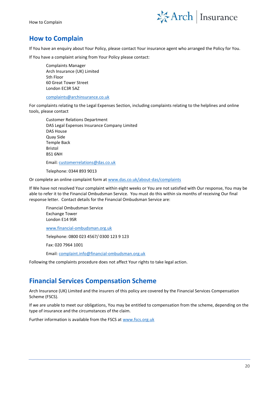

# <span id="page-19-0"></span>**How to Complain**

If You have an enquiry about Your Policy, please contact Your insurance agent who arranged the Policy for You.

If You have a complaint arising from Your Policy please contact:

Complaints Manager Arch Insurance (UK) Limited 5th Floor 60 Great Tower Street London EC3R 5AZ

[complaints@archinsurance.co.uk](mailto:complaints@archinsurance.co.uk)

For complaints relating to the Legal Expenses Section, including complaints relating to the helplines and online tools, please contact

Customer Relations Department DAS Legal Expenses Insurance Company Limited DAS House Quay Side Temple Back Bristol BS1 6NH

Email[: customerrelations@das.co.uk](mailto:customerrelations@das.co.uk)

Telephone: 0344 893 9013

Or complete an online complaint form a[t www.das.co.uk/about-das/complaints](http://www.das.co.uk/about-das/complaints)

If We have not resolved Your complaint within eight weeks or You are not satisfied with Our response, You may be able to refer it to the Financial Ombudsman Service. You must do this within six months of receiving Our final response letter. Contact details for the Financial Ombudsman Service are:

Financial Ombudsman Service Exchange Tower London E14 9SR [www.financial-ombudsman.org.uk](http://www.financial-ombudsman.org.uk/)

Telephone: 0800 023 4567/ 0300 123 9 123

Fax: 020 7964 1001

Email[: complaint.info@financial-ombudsman.org.uk](mailto:complaint.info@financial-ombudsman.org.uk)

<span id="page-19-1"></span>Following the complaints procedure does not affect Your rights to take legal action.

## **Financial Services Compensation Scheme**

Arch Insurance (UK) Limited and the insurers of this policy are covered by the Financial Services Compensation Scheme (FSCS).

If we are unable to meet our obligations, You may be entitled to compensation from the scheme, depending on the type of insurance and the circumstances of the claim.

Further information is available from the FSCS at [www.fscs.org.uk](http://www.fscs.org.uk/)